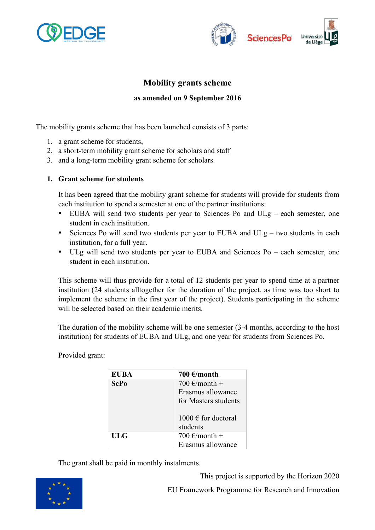



# **Mobility grants scheme**

### **as amended on 9 September 2016**

The mobility grants scheme that has been launched consists of 3 parts:

- 1. a grant scheme for students,
- 2. a short-term mobility grant scheme for scholars and staff
- 3. and a long-term mobility grant scheme for scholars.

#### **1. Grant scheme for students**

It has been agreed that the mobility grant scheme for students will provide for students from each institution to spend a semester at one of the partner institutions:

- EUBA will send two students per year to Sciences Po and ULg each semester, one student in each institution.
- Sciences Po will send two students per year to EUBA and  $ULg$  two students in each institution, for a full year.
- ULg will send two students per year to EUBA and Sciences Po each semester, one student in each institution.

This scheme will thus provide for a total of 12 students per year to spend time at a partner institution (24 students alltogether for the duration of the project, as time was too short to implement the scheme in the first year of the project). Students participating in the scheme will be selected based on their academic merits.

The duration of the mobility scheme will be one semester (3-4 months, according to the host institution) for students of EUBA and ULg, and one year for students from Sciences Po.

> **EUBA 700**  $\epsilon$ /month  $\textbf{ScPo}$  700  $\in$ /month + Erasmus allowance for Masters students  $1000 \text{ }\epsilon$  for doctoral students **ULG**  $\vert 700 \text{ } \infty \rangle + 1$ Erasmus allowance

Provided grant:

The grant shall be paid in monthly instalments.



This project is supported by the Horizon 2020

EU Framework Programme for Research and Innovation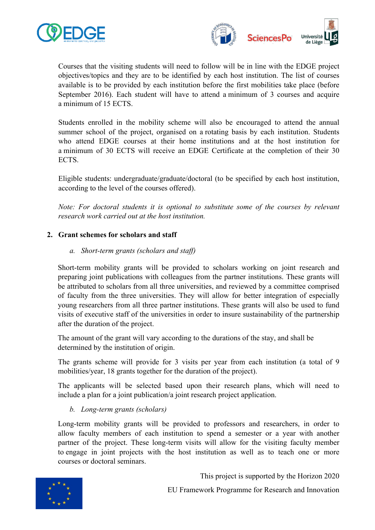



Courses that the visiting students will need to follow will be in line with the EDGE project objectives/topics and they are to be identified by each host institution. The list of courses available is to be provided by each institution before the first mobilities take place (before September 2016). Each student will have to attend a minimum of 3 courses and acquire a minimum of 15 ECTS.

Students enrolled in the mobility scheme will also be encouraged to attend the annual summer school of the project, organised on a rotating basis by each institution. Students who attend EDGE courses at their home institutions and at the host institution for a minimum of 30 ECTS will receive an EDGE Certificate at the completion of their 30 ECTS.

Eligible students: undergraduate/graduate/doctoral (to be specified by each host institution, according to the level of the courses offered).

*Note: For doctoral students it is optional to substitute some of the courses by relevant research work carried out at the host institution.*

### **2. Grant schemes for scholars and staff**

### *a. Short-term grants (scholars and staff)*

Short-term mobility grants will be provided to scholars working on joint research and preparing joint publications with colleagues from the partner institutions. These grants will be attributed to scholars from all three universities, and reviewed by a committee comprised of faculty from the three universities. They will allow for better integration of especially young researchers from all three partner institutions. These grants will also be used to fund visits of executive staff of the universities in order to insure sustainability of the partnership after the duration of the project.

The amount of the grant will vary according to the durations of the stay, and shall be determined by the institution of origin.

The grants scheme will provide for 3 visits per year from each institution (a total of 9 mobilities/year, 18 grants together for the duration of the project).

The applicants will be selected based upon their research plans, which will need to include a plan for a joint publication/a joint research project application.

## *b. Long-term grants (scholars)*

Long-term mobility grants will be provided to professors and researchers, in order to allow faculty members of each institution to spend a semester or a year with another partner of the project. These long-term visits will allow for the visiting faculty member to engage in joint projects with the host institution as well as to teach one or more courses or doctoral seminars.



This project is supported by the Horizon 2020

EU Framework Programme for Research and Innovation